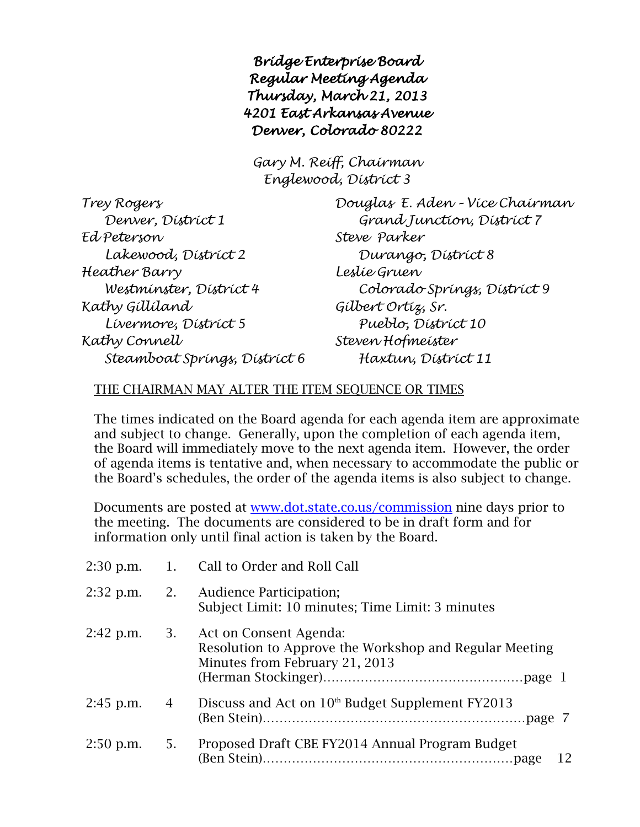*Bridge Enterprise Board Regular Meeting Agenda Thursday, March 21, 2013 4201 East Arkansas Avenue Denver, Colorado 80222* 

*Gary M. Reiff, Chairman Englewood, District 3*

| Trey Rogers                   |
|-------------------------------|
| Denver, District 1            |
| Ed Peterson                   |
| Lakewood, District 2          |
| Heather Barry                 |
| Westminster, District 4       |
| Kathy Gíllíland               |
| Lívermore, Dístríct 5         |
| Kathy Connell                 |
| Steamboat Springs, District 6 |

*Trey Rogers Douglas E. Aden – Vice Chairman Denver, District 1 Grand Junction, District 7 Ed Peterson Steve Parker Lakewood, District 2 Durango, District 8 Heather Barry Leslie Gruen Westminster, District 4 Colorado Springs, District 9 Kathy Gilliland Gilbert Ortiz, Sr. Livermore, District 5 Pueblo, District 10 Kathy Connell Steven Hofmeister Steamboat Springs, District 6 Haxtun, District 11*

## THE CHAIRMAN MAY ALTER THE ITEM SEQUENCE OR TIMES

The times indicated on the Board agenda for each agenda item are approximate and subject to change. Generally, upon the completion of each agenda item, the Board will immediately move to the next agenda item. However, the order of agenda items is tentative and, when necessary to accommodate the public or the Board's schedules, the order of the agenda items is also subject to change.

Documents are posted at [www.dot.state.co.us/commission](http://www.dot.state.co.us/commission) nine days prior to the meeting. The documents are considered to be in draft form and for information only until final action is taken by the Board.

|                        |           | 2:30 p.m. 1. Call to Order and Roll Call                                                                           |
|------------------------|-----------|--------------------------------------------------------------------------------------------------------------------|
| $2:32$ p.m.            |           | 2. Audience Participation;<br>Subject Limit: 10 minutes; Time Limit: 3 minutes                                     |
| $2.42$ p.m.            | <b>3.</b> | Act on Consent Agenda:<br>Resolution to Approve the Workshop and Regular Meeting<br>Minutes from February 21, 2013 |
| $2:45$ p.m.            | 4         | Discuss and Act on 10 <sup>th</sup> Budget Supplement FY2013                                                       |
| $2:50 \text{ p.m.}$ 5. |           | Proposed Draft CBE FY2014 Annual Program Budget<br>12                                                              |